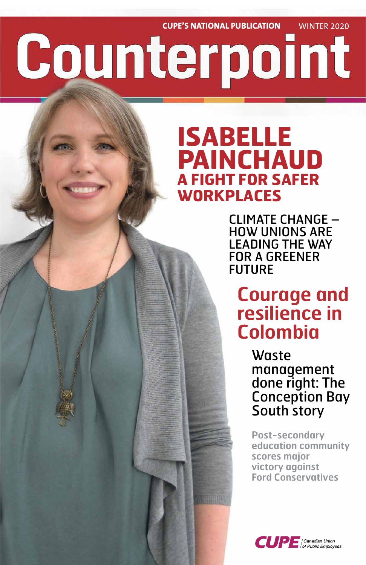# **CUPE'S NATIONAL PUBLICATION** WINTER 2020 Counterpoint

# **ISABELLE PAINCHAUD A FIGHT FOR SAFER WORKPLACES**

CLIMATE CHANGE – HOW UNIONS ARE LEADING THE WAY FOR A GREENER FUTURE

**Courage and resilience in Colombia** 

> Waste management done right: The Conception Bay South story



**Post-secondary education community scores major victory against Ford Conservatives**

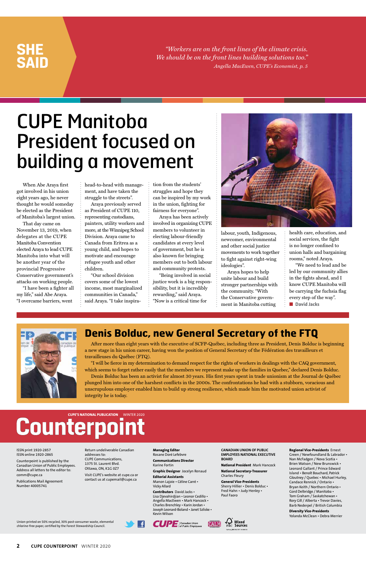*"Workers are on the front lines of the climate crisis. We should be on the front lines building solutions too." Angella MacEwen, CUPE's Economist, p. 5*

### **SHE SAID**

Union-printed on 50% recycled, 30% post-consumer waste, elemental chlorine-free paper, certified by the Forest Stewardship Council.

Æ

**2 CUPE COUNTERPOINT** WINTER 2020

#### ISSN print 1920-2857 ISSN online 1920-2865

Counterpoint is published by the Canadian Union of Public Employees. Address all letters to the editor to: comm@cupe.ca

Publications Mail Agreement Number 40005741

Return undeliverable Canadian addresses to: CUPE Communications, 1375 St. Laurent Blvd. Ottawa, ON, K1G 0Z7

Visit CUPE's website at cupe.ca or contact us at cupemail@cupe.ca

**Managing Editor** Rosane Doré Lefebvre

**Communications Director** Karine Fortin

**Graphic Designer** Jocelyn Renaud

**Editorial Assistants** Manon Lajoie • Céline Carré • Vicky Allard

**Contributors** David Jacks • Lisa Djevahirdjian • Leonor Cedillo • Angella MacEwen • Mark Hancock • Charles Brenchley • Karin Jordan • Joseph Leonard-Boland • Janet Szliske • Kevin Wilson





**CANADIAN UNION OF PUBLIC EMPLOYEES NATIONAL EXECUTIVE BOARD**

**National President** Mark Hancock

**National Secretary-Treasurer** Charles Fleury

**General Vice-Presidents** Sherry Hillier • Denis Bolduc • Fred Hahn • Judy Henley • Paul Faoro

#### **Regional Vice-Presidents** Ernest Green / Newfoundland & Labrador • Nan McFadgen / Nova Scotia • Brien Watson / New Brunswick • Leonard Gallant / Prince Edward Island • Benoît Bouchard, Patrick

Gloutney / Quebec • Michael Hurley, Candace Rennick / Ontario • Bryan Keith / Northern Ontario • Gord Delbridge / Manitoba • Tom Graham / Saskatchewan • Rory Gill / Alberta • Trevor Davies, Barb Nederpel / British Columbia

**Diversity Vice-Presidents** Yolanda McClean • Debra Merrier

# Counterpoint

When Abe Araya first got involved in his union eight years ago, he never thought he would someday be elected as the President of Manitoba's largest union.

> "I will be fierce in my determination to demand respect for the rights of workers in dealings with the CAQ government, which seems to forget rather easily that the members we represent make up the families in Quebec," declared Denis Bolduc.

That day came on November 13, 2019, when delegates at the CUPE Manitoba Convention elected Araya to lead CUPE Manitoba into what will be another year of the provincial Progressive Conservative government's attacks on working people.

"I have been a fighter all my life," said Abe Araya. "I overcame barriers, went

head-to-head with management, and have taken the struggle to the streets".

Araya previously served as President of CUPE 110, representing custodians, painters, utility workers and more, at the Winnipeg School Division. Araya came to Canada from Eritrea as a young child, and hopes to motivate and encourage refugee youth and other children.

"Our school division covers some of the lowest income, most marginalized communities in Canada," said Araya. "I take inspiration from the students' struggles and hope they can be inspired by my work in the union, fighting for fairness for everyone".

Araya has been actively involved in organizing CUPE members to volunteer in electing labour-friendly candidates at every level of government, but he is also known for bringing members out to both labour and community protests.

"Being involved in social justice work is a big responsibility, but it is incredibly rewarding," said Araya. "Now is a critical time for



labour, youth, Indigenous, newcomer, environmental and other social justice movements to work together to fight against right-wing ideologies".

Araya hopes to help unite labour and build stronger partnerships with the community. "With the Conservative government in Manitoba cutting

health care, education, and social services, the fight is no longer confined to union halls and bargaining rooms," noted Araya.

"We need to lead and be led by our community allies in the fights ahead, and I know CUPE Manitoba will be carrying the fuchsia flag every step of the way". ■ **David Jacks**



### **Denis Bolduc, new General Secretary of the FTQ**

After more than eight years with the executive of SCFP-Québec, including three as President, Denis Bolduc is beginning a new stage in his union career, having won the position of General Secretary of the Fédération des travailleurs et travailleuses du Québec (FTQ).

Denis Bolduc has been an activist for almost 30 years. His first years spent in trade unionism at the Journal de Québec plunged him into one of the harshest conflicts in the 2000s. The confrontations he had with a stubborn, voracious and unscrupulous employer enabled him to build up strong resilience, which made him the motivated union activist of integrity he is today.

## CUPE Manitoba President focused on building a movement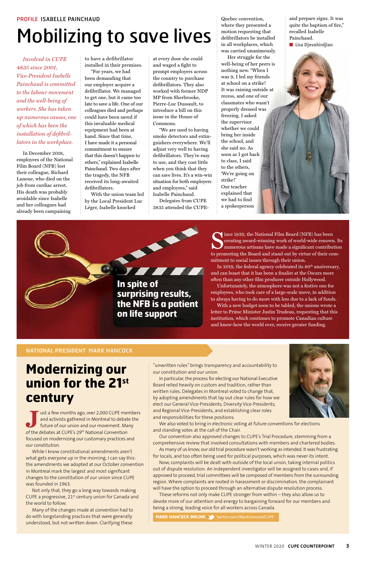## **Modernizing our union for the 21st century**

**J** ust a few months ago, over 2,000 CUPE members

### **NATIONAL PRESIDENT** MARK HANCOCK

*Involved in CUPE 4835 since 2001, Vice-President Isabelle Painchaud is committed to the labour movement and the well-being of workers. She has taken up numerous causes, one of which has been the installation of defibrillators in the workplace.* 

In December 2018, employees of the National Film Board (NFB) lost their colleague, Richard Lanoue, who died on the job from cardiac arrest. His death was probably avoidable since Isabelle and her colleagues had already been campaining

to have a defibrillator installed in their premises.

"For years, we had been demanding that our employer acquire a defibrillator. We managed to get one, but it came too late to save a life. One of our colleagues died and perhaps could have been saved if this invaluable medical equipment had been at hand. Since that time, I have made it a personal commitment to ensure that this doesn't happen to others," explained Isabelle Painchaud. Two days after the tragedy, the NFB received its long-awaited defibrillators.

With the union team led by the Local President Luc Léger, Isabelle knocked

at every door she could and waged a fight to prompt employers across the country to purchase defibrillators. They also worked with former NDP MP from Sherbrooke, Pierre-Luc Dussault, to introduce a bill on this issue in the House of Commons.

"We are used to having smoke detectors and extinguishers everywhere. We'll adjust very well to having defibrillators. They're easy to use, and they cost little when you think that they can save lives. It's a win-win situation for both employers and employees," said Isabelle Painchaud.

Delegates from CUPE 3835 attended the CUPE-

F F F

Quebec convention, where they presented a motion requesting that defibrillators be installed in all workplaces, which was carried unanimously.

Her struggle for the well-being of her peers is nothing new. "When I was 9, I led my friends at school on a strike! It was raining outside at recess, and one of our classmates who wasn't properly dressed was freezing. I asked the supervisor whether we could bring her inside the school, and she said no. As soon as I got back to class, I said to the others, 'We're going on strike!' Our teacher explained that we had to find

a spokesperson

and prepare signs. It was quite the baptism of fire," recalled Isabelle Painchaud. ■ **Lisa Djevahirdjian**



ince 1939, the National Film Board (NFB) has been creating award-winning work of world-wide renown. Its numerous artisans have made a significant contribution to promoting the Board and stand out by virtue of their commitment to social issues through their union.

and activists gathered in Montreal to debate the future of our union and our movement. Many of the debates at CUPE's 29<sup>th</sup> National Convention focused on modernizing our customary practices and our constitution.

In 2019, the federal agency celebrated its 80<sup>th</sup> anniversary, and can boast that it has been a finalist at the Oscars more often than any other film producer outside Hollywood.

While I know constitutional amendments aren't what gets everyone up in the morning, I can say this: the amendments we adopted at our October convention in Montreal mark the largest and most significant changes to the constitution of our union since CUPE was founded in 1963.

Not only that, they go a long way towards making CUPE a progressive,  $21<sup>st</sup>$  century union for Canada and the world to follow.

Many of the changes made at convention had to do with longstanding practices that were generally understood, but not written down. Clarifying these

"unwritten rules" brings transparency and accountability to our constitution and our union.

In particular, the process for electing our National Executive Board relied heavily on custom and tradition, rather than written rules. Delegates in Montreal voted to change that, by adopting amendments that lay out clear rules for how we elect our General Vice-Presidents, Diversity Vice-Presidents, and Regional Vice-Presidents, and establishing clear roles



and responsibilities for these positions.

We also voted to bring in electronic voting at future conventions for elections and standing votes at the call of the Chair.

Our convention also approved changes to CUPE's Trial Procedure, stemming from a comprehensive review that involved consultations with members and chartered bodies.

As many of us know, our old trial procedure wasn't working as intended. It was frustrating for locals, and too often being used for political purposes, which was never its intent.

Now, complaints will be dealt with outside of the local union, taking internal politics out of dispute resolution. An independent investigator will be assigned to cases and, if approved to proceed, trial committees will be composed of members from the surrounding region. Where complaints are rooted in harassment or discrimination, the complainant will have the option to proceed through an alternative dispute resolution process.

These reforms not only make CUPE stronger from within – they also allow us to devote more of our attention and energy to bargaining forward for our members and being a strong, leading voice for all workers across Canada.

**MARK HANCOCK ONLINE 3** twitter.com/MarkHancockCUPE

# Mobilizing to save lives

Unfortunately, the atmosphere was not a festive one for employees, who took care of a large-scale move, in addition to always having to do more with less due to a lack of funds.

With a new budget soon to be tabled, the unions wrote a letter to Prime Minister Justin Trudeau, requesting that this institution, which continues to promote Canadian culture and know-how the world over, receive greater funding.

**In spite of** 

**surprising results,** 

**the NFB is a patient** 

**on life support**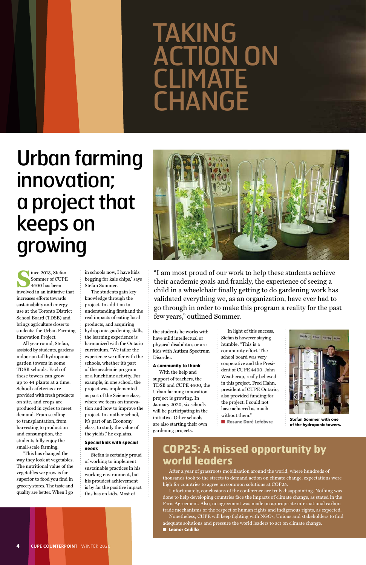**S**ince 2013, Stefan Sommer of CUPE 4400 has been involved in an initiative that increases efforts towards sustainability and energy use at the Toronto District School Board (TDSB) and brings agriculture closer to students: the Urban Farming Innovation Project.

All year round, Stefan, assisted by students, gardens indoor on tall hydroponic garden towers in some TDSB schools. Each of these towers can grow up to 44 plants at a time. School cafeterias are provided with fresh products on site, and crops are produced in cycles to meet demand. From seedling to transplantation, from harvesting to production and consumption, the students fully enjoy the small-scale farming. "This has changed the way they look at vegetables. The nutritional value of the vegetables we grow is far superior to food you find in grocery stores. The taste and quality are better. When I go

in schools now, I have kids begging for kale chips," says Stefan Sommer.

The students gain key knowledge through the project. In addition to understanding firsthand the real impacts of eating local products, and acquiring hydroponic gardening skills, the learning experience is harmonized with the Ontario curriculum. "We tailor the experience we offer with the schools, whether it's part of the academic program or a lunchtime activity. For example, in one school, the project was implemented as part of the Science class, where we focus on innovation and how to improve the project. In another school, it's part of an Economy class, to study the value of the yields," he explains.

#### **Special kids with special needs**

# TAKING ACTION ON **CLIMATE CHANGE**

Stefan is certainly proud of working to implement sustainable practices in his working environment, but his proudest achievement is by far the positive impact this has on kids. Most of

the students he works with have mild intellectual or physical disabilities or are kids with Autism Spectrum Disorder.

#### **A community to thank**

With the help and support of teachers, the TDSB and CUPE 4400, the Urban farming innovation project is growing. In January 2020, six schools will be participating in the

initiative. Other schools are also starting their own gardening projects.

In light of this success, Stefan is however staying humble. "This is a community effort. The school board was very cooperative and the President of CUPE 4400, John Weatherup, really believed in this project. Fred Hahn, president of CUPE Ontario, also provided funding for the project. I could not have achieved as much without them."



■ **Rosane Doré Lefebvre**

# Urban farming innovation; a project that keeps on growing



### **COP25: A missed opportunity by world leaders**

After a year of grassroots mobilization around the world, where hundreds of thousands took to the streets to demand action on climate change, expectations were high for countries to agree on common solutions at COP25.

Unfortunately, conclusions of the conference are truly disappointing. Nothing was done to help developing countries face the impacts of climate change, as stated in the Paris Agreement. Also, no agreement was made on appropriate international carbon trade mechanisms or the respect of human rights and indigenous rights, as expected. Nonetheless, CUPE will keep fighting with NGOs, Unions and stakeholders to find adequate solutions and pressure the world leaders to act on climate change. ■ **Leonor Cedillo**

**4 CUPE COUNTERPOINT** WINTER 2020

"I am most proud of our work to help these students achieve their academic goals and frankly, the experience of seeing a child in a wheelchair finally getting to do gardening work has validated everything we, as an organization, have ever had to go through in order to make this program a reality for the past few years," outlined Sommer.

> Stefan Sommer with one of the hydroponic towers.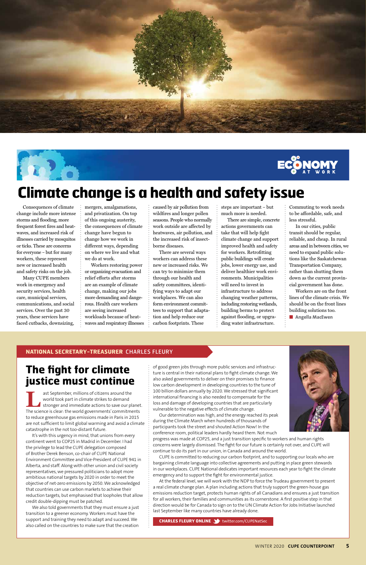### **NATIONAL SECRETARY-TREASURER** CHARLES FLEURY

of good green jobs through more public services and infrastructure is central in their national plans to fight climate change. We also asked governments to deliver on their promises to finance low carbon development in developing countries to the tune of 100 billion dollars annually by 2020. We stressed that significant international financing is also needed to compensate for the loss and damage of developing countries that are particularly vulnerable to the negative effects of climate change.



Our determination was high, and the energy reached its peak during the Climate March when hundreds of thousands of participants took the street and shouted Action Now! In the conference room, political leaders hardly heard them. Not much

progress was made at COP25, and a just transition specific to workers and human rights concerns were largely dismissed. The fight for our future is certainly not over, and CUPE will continue to do its part in our union, in Canada and around the world.

ast September, millions of citizens around the world took part in climate strikes to demand stronger and immediate actions to save our planet. The science is clear: the world governments' commitments

> CUPE is committed to reducing our carbon footprint, and to supporting our locals who are bargaining climate language into collective agreements and putting in place green stewards in our workplaces. CUPE National dedicates important resources each year to fight the climate emergency and to support the fight for environmental justice.

At the federal level, we will work with the NDP to force the Trudeau government to present a real climate change plan. A plan including actions that truly support the green-house gas emissions reduction target, protects human rights of all Canadians and ensures a just transition for all workers, their families and communities as its cornerstone. A first positive step in that direction would be for Canada to sign on to the UN Climate Action for Jobs Initiative launched last September like many countries have already done.

**CHARLES FLEURY ONLINE** twitter.com/CUPENatSec

### **The fight for climate justice must continue**

to reduce greenhouse gas emissions made in Paris in 2015 are not sufficient to limit global warming and avoid a climate catastrophe in the not too-distant future.

It's with this urgency in mind, that unions from every continent went to COP25 in Madrid in December. I had the privilege to lead the CUPE delegation composed of Brother Derek Benson, co-chair of CUPE National Environment Committee and Vice-President of CUPE 941 in Alberta, and staff. Along with other union and civil society representatives, we pressured politicians to adopt more ambitious national targets by 2020 in order to meet the objective of net-zero emissions by 2050. We acknowledged that countries can use carbon markets to achieve their reduction targets, but emphasised that loopholes that allow credit double-dipping must be patched.

We also told governments that they must ensure a just transition to a greener economy. Workers must have the support and training they need to adapt and succeed. We also called on the countries to make sure that the creation

Consequences of climate change include more intense storms and flooding, more frequent forest fires and heatwaves, and increased risk of illnesses carried by mosquitos or ticks. These are concerns for everyone – but for many workers, these represent new or increased health and safety risks on the job.

Many CUPE members work in emergency and security services, health care, municipal services, communications, and social services. Over the past 30 years, these services have faced cutbacks, downsizing,

mergers, amalgamations, and privatization. On top of this ongoing austerity, the consequences of climate change have begun to change how we work in different ways, depending on where we live and what we do at work.

Workers restoring power or organizing evacuation and relief efforts after storms are an example of climate change, making our jobs more demanding and dangerous. Health care workers are seeing increased workloads because of heatwaves and respiratory illnesses caused by air pollution from wildfires and longer pollen seasons. People who normally work outside are affected by heatwaves, air pollution, and the increased risk of insectborne diseases.

There are several ways workers can address these new or increased risks. We can try to minimize them through our health and safety committees, identifying ways to adapt our workplaces. We can also form environment committees to support that adaptation and help reduce our carbon footprints. These

steps are important – but much more is needed.

There are simple, concrete actions governments can take that will help fight climate change and support improved health and safety for workers. Retrofitting public buildings will create jobs, lower energy use, and deliver healthier work environments. Municipalities will need to invest in infrastructure to address changing weather patterns, including restoring wetlands, building berms to protect against flooding, or upgrading water infrastructure.

Commuting to work needs to be affordable, safe, and less stressful.

In our cities, public transit should be regular, reliable, and cheap. In rural areas and in between cities, we need to expand public solutions like the Saskatchewan Transportation Company, rather than shutting them down as the current provincial government has done.

Workers are on the front lines of the climate crisis. We should be on the front lines building solutions too.

■ **Angella MacEwen**





## **Climate change is a health and safety issue**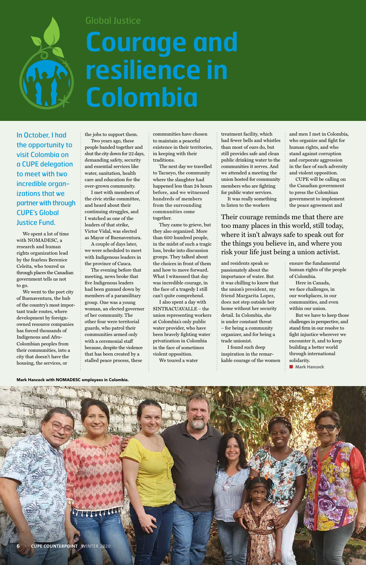In October, I had the opportunity to visit Colombia on a CUPE delegation to meet with two incredible organizations that we partner with through CUPE's Global Justice Fund.

We spent a lot of time with NOMADESC, a research and human rights organization lead by the fearless Berenice Celeita, who toured us through places the Canadian government tells us not to go.

We went to the port city of Buenaventura, the hub of the country's most important trade routes, where development by foreignowned resource companies has forced thousands of Indigenous and Afro-Colombian peoples from their communities, into a city that doesn't have the housing, the services, or

the jobs to support them.

Two years ago, these people banded together and shut the city down for 22 days, demanding safety, security and essential services like water, sanitation, health care and education for the over-grown community.

I met with members of the civic strike committee, and heard about their continuing struggles, and I watched as one of the leaders of that strike, Victor Vidal, was elected as Mayor of Buenaventura.

A couple of days later, we were scheduled to meet with Indigenous leaders in the province of Cauca.

The evening before that meeting, news broke that five Indigenous leaders had been gunned down by members of a paramilitary group. One was a young woman, an elected governor of her community. The other four were territorial guards, who patrol their communities armed only with a ceremonial staff because, despite the violence that has been created by a stalled peace process, these

communities have chosen to maintain a peaceful existence in their territories, in keeping with their traditions.

The next day we travelled to Tacueyo, the community where the slaughter had happened less than 24 hours before, and we witnessed hundreds of members from the surrounding communities come together.

They came to grieve, but they also organized. More than 600 hundred people, in the midst of such a tragic loss, broke into discussion groups. They talked about the choices in front of them and how to move forward. What I witnessed that day was incredible courage, in the face of a tragedy I still can't quite comprehend.

I also spent a day with SINTRACUAVALLE – the union representing workers at Colombia's only public water provider, who have been bravely fighting water privatization in Colombia in the face of sometimes violent opposition. We toured a water

treatment facility, which had fewer bells and whistles than most of ours do, but still provides safe and clean public drinking water to the communities it serves. And we attended a meeting the union hosted for community members who are fighting for public water services.

It was really something to listen to the workers

and residents speak so passionately about the importance of water. But it was chilling to know that the union's president, my friend Margarita Lopez, does not step outside her home without her security detail. In Colombia, she is under constant threat – for being a community organizer, and for being a trade unionist.

I found such deep inspiration in the remarkable courage of the women and men I met in Colombia, who organize and fight for human rights, and who stand against corruption and corporate aggression in the face of such adversity and violent opposition.

CUPE will be calling on the Canadian government to press the Colombian government to implement the peace agreement and

ensure the fundamental human rights of the people of Colombia.

Here in Canada, we face challenges, in our workplaces, in our communities, and even within our union.

But we have to keep those challenges in perspective, and stand firm in our resolve to fight injustice wherever we encounter it, and to keep building a better world through international solidarity.

■ **Mark Hancock**



### Global Justice

# **Courage and resilience in Colombia**

Their courage reminds me that there are too many places in this world, still today, where it isn't always safe to speak out for the things you believe in, and where you risk your life just being a union activist.

Mark Hancock with NOMADESC employees in Colombia.

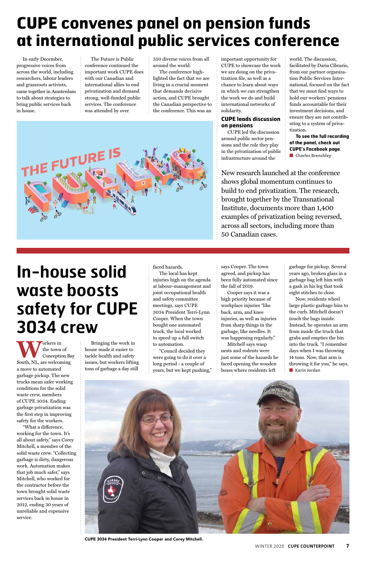In early December, progressive voices from across the world, including researchers, labour leaders and grassroots activists, came together in Amsterdam to talk about strategies to bring public services back in house.

The Future is Public conference continued the important work CUPE does with our Canadian and international allies to end privatization and demand strong, well-funded public services. The conference was attended by over

350 diverse voices from all around the world.

The conference highlighted the fact that we are living in a crucial moment that demands decisive action, and CUPE brought the Canadian perspective to the conference. This was an



**To see the full recording of the panel, check out CUPE's Facebook page**. ■ **Charles Brenchley** 

#### important opportunity for CUPE to showcase the work we are doing on the privatization file, as well as a chance to learn about ways in which we can strengthen the work we do and build international networks of solidarity.

**WAORER SOLUTE:**<br>
South, NL, are welcoming the town of Conception Bay a move to automated garbage pickup. The new trucks mean safer working conditions for the solid waste crew, members of CUPE 3034. Ending garbage privatization was the first step in improving

### **CUPE leads discussion on pensions**

CUPE led the discussion around public sector pensions and the role they play in the privatization of public infrastructure around the

world. The discussion, facilitated by Daria Cibrario, from our partner organization Public Services International, focused on the fact that we must find ways to hold our workers' pensions funds accountable for their investment decisions, and ensure they are not contributing to a system of privatization.

Now, residents wheel large plastic garbage bins to the curb. Mitchell doesn't touch the bags inside. Instead, he operates an arm from inside the truck that grabs and empties the bin into the truck. "I remember days when I was throwing 14 tons. Now, that arm is throwing it for you," he says. ■ **Karin Jordan** 



safety for the workers.

"What a difference, working for the town. It's all about safety," says Corey Mitchell, a member of the solid waste crew. "Collecting garbage is dirty, dangerous work. Automation makes that job much safer," says Mitchell, who worked for the contractor before the town brought solid waste services back in house in 2012, ending 30 years of unreliable and expensive service.

Bringing the work in house made it easier to tackle health and safety issues, but workers lifting tons of garbage a day still

#### faced hazards.

The local has kept injuries high on the agenda at labour-management and joint occupational health and safety committee meetings, says CUPE 3034 President Terri-Lynn Cooper. When the town bought one automated truck, the local worked to speed up a full switch to automation.

"Council decided they were going to do it over a long period - a couple of years, but we kept pushing," says Cooper. The town agreed, and pickup has been fully automated since the fall of 2019.

Cooper says it was a high priority because of workplace injuries "like back, arm, and knee injuries, as well as injuries from sharp things in the garbage, like needles. It was happening regularly."

Mitchell says wasp nests and rodents were just some of the hazards he faced opening the wooden boxes where residents left

garbage for pickup. Several years ago, broken glass in a garbage bag left him with a gash in his leg that took eight stitches to close.

## **In-house solid waste boosts safety for CUPE 3034 crew**

## **CUPE convenes panel on pension funds at international public services conference**

New research launched at the conference shows global momentum continues to build to end privatization. The research, brought together by the Transnational Institute, documents more than 1,400 examples of privatization being reversed, across all sectors, including more than 50 Canadian cases.

CUPE 3034 President Terri-Lynn Cooper and Corey Mitchell.